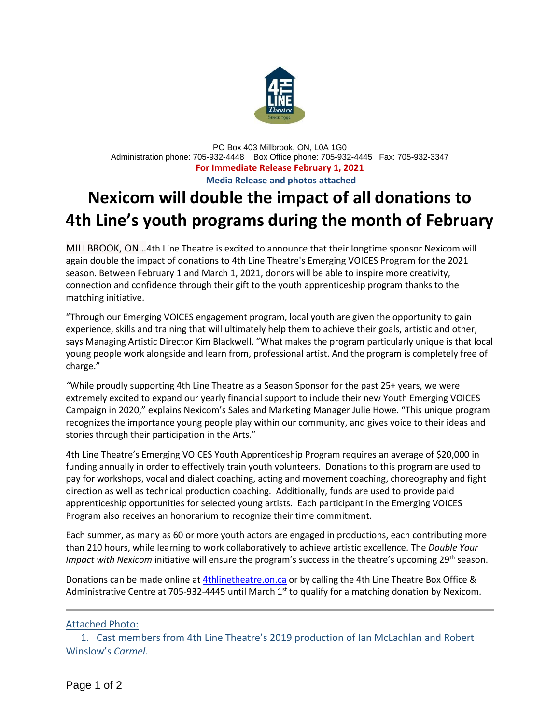

PO Box 403 Millbrook, ON, L0A 1G0 Administration phone: 705-932-4448 Box Office phone: 705-932-4445 Fax: 705-932-3347 **For Immediate Release February 1, 2021 Media Release and photos attached**

## **Nexicom will double the impact of all donations to 4th Line's youth programs during the month of February**

MILLBROOK, ON…4th Line Theatre is excited to announce that their longtime sponsor Nexicom will again double the impact of donations to 4th Line Theatre's Emerging VOICES Program for the 2021 season. Between February 1 and March 1, 2021, donors will be able to inspire more creativity, connection and confidence through their gift to the youth apprenticeship program thanks to the matching initiative.

"Through our Emerging VOICES engagement program, local youth are given the opportunity to gain experience, skills and training that will ultimately help them to achieve their goals, artistic and other, says Managing Artistic Director Kim Blackwell. "What makes the program particularly unique is that local young people work alongside and learn from, professional artist. And the program is completely free of charge."

*"*While proudly supporting 4th Line Theatre as a Season Sponsor for the past 25+ years, we were extremely excited to expand our yearly financial support to include their new Youth Emerging VOICES Campaign in 2020," explains Nexicom's Sales and Marketing Manager Julie Howe. "This unique program recognizes the importance young people play within our community, and gives voice to their ideas and stories through their participation in the Arts."

4th Line Theatre's Emerging VOICES Youth Apprenticeship Program requires an average of \$20,000 in funding annually in order to effectively train youth volunteers. Donations to this program are used to pay for workshops, vocal and dialect coaching, acting and movement coaching, choreography and fight direction as well as technical production coaching. Additionally, funds are used to provide paid apprenticeship opportunities for selected young artists. Each participant in the Emerging VOICES Program also receives an honorarium to recognize their time commitment.

Each summer, as many as 60 or more youth actors are engaged in productions, each contributing more than 210 hours, while learning to work collaboratively to achieve artistic excellence. The *Double Your Impact with Nexicom* initiative will ensure the program's success in the theatre's upcoming 29th season.

Donations can be made online at [4thlinetheatre.on.ca](http://www.4thlinetheatre.on.ca/) or by calling the 4th Line Theatre Box Office & Administrative Centre at 705-932-4445 until March 1<sup>st</sup> to qualify for a matching donation by Nexicom.

## Attached Photo:

 1. Cast members from 4th Line Theatre's 2019 production of Ian McLachlan and Robert Winslow's *Carmel.*